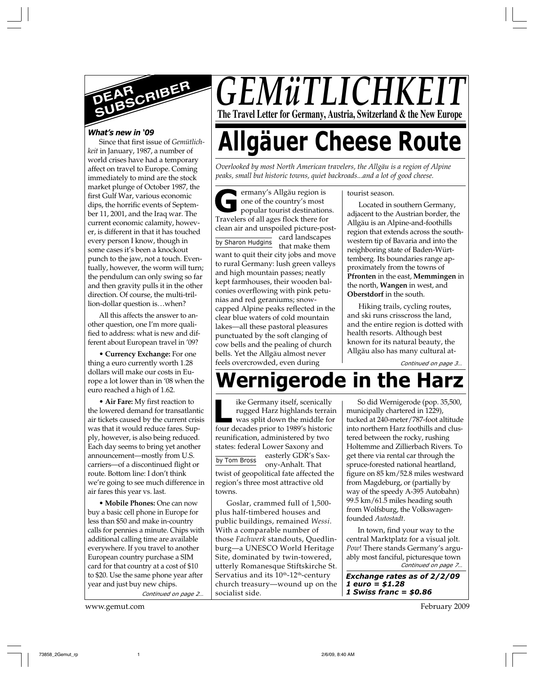

#### *What's new in '09*

Since that first issue of *Gemütlichkeit* in January, 1987, a number of world crises have had a temporary affect on travel to Europe. Coming immediately to mind are the stock market plunge of October 1987, the first Gulf War, various economic dips, the horrific events of September 11, 2001, and the Iraq war. The current economic calamity, however, is different in that it has touched every person I know, though in some cases it's been a knockout punch to the jaw, not a touch. Eventually, however, the worm will turn; the pendulum can only swing so far and then gravity pulls it in the other direction. Of course, the multi-trillion-dollar question is…when?

All this affects the answer to another question, one I'm more qualified to address: what is new and different about European travel in '09?

• **Currency Exchange:** For one thing a euro currently worth 1.28 dollars will make our costs in Europe a lot lower than in '08 when the euro reached a high of 1.62.

• **Air Fare:** My first reaction to the lowered demand for transatlantic air tickets caused by the current crisis was that it would reduce fares. Supply, however, is also being reduced. Each day seems to bring yet another announcement—mostly from U.S. carriers—of a discontinued flight or route. Bottom line: I don't think we're going to see much difference in air fares this year vs. last.

**• Mobile Phones:** One can now buy a basic cell phone in Europe for less than \$50 and make in-country calls for pennies a minute. Chips with additional calling time are available everywhere. If you travel to another European country purchase a SIM card for that country at a cost of \$10 to \$20. Use the same phone year after year and just buy new chips.

*Continued on page 2…*

www.gemut.com February 2009

*GEMüTLICHK* **The Travel Letter for Germany, Austria, Switzerland & the New Europe**

# **Allgäuer Cheese Route**

*Overlooked by most North American travelers, the Allgäu is a region of Alpine peaks, small but historic towns, quiet backroads...and a lot of good cheese.*

by Sharon Hudgins **G** ermany's Allgäu region is one of the country's most popular tourist destinations. Travelers of all ages flock there for clean air and unspoiled picture-postcard landscapes that make them want to quit their city jobs and move to rural Germany: lush green valleys and high mountain passes; neatly kept farmhouses, their wooden balconies overflowing with pink petunias and red geraniums; snowcapped Alpine peaks reflected in the clear blue waters of cold mountain lakes—all these pastoral pleasures punctuated by the soft clanging of cow bells and the pealing of church bells. Yet the Allgäu almost never feels overcrowded, even during

tourist season.

Located in southern Germany, adjacent to the Austrian border, the Allgäu is an Alpine-and-foothills region that extends across the southwestern tip of Bavaria and into the neighboring state of Baden-Württemberg. Its boundaries range approximately from the towns of **Pfronten** in the east, **Memmingen** in the north, **Wangen** in west, and **Oberstdorf** in the south.

Hiking trails, cycling routes, and ski runs crisscross the land, and the entire region is dotted with health resorts. Although best known for its natural beauty, the Allgäu also has many cultural at-

*Continued on page 3…*

# **Wernigerode in the Harz**

ike Germany itself, scenically rugged Harz highlands terrain was split down the middle for four decades prior to 1989's historic **L** reunification, administered by two states: federal Lower Saxony and easterly GDR's Saxony-Anhalt. That twist of geopolitical fate affected the region's three most attractive old towns. by Tom Bross

Goslar, crammed full of 1,500 plus half-timbered houses and public buildings, remained *Wessi*. With a comparable number of those *Fachwerk* standouts, Quedlinburg—a UNESCO World Heritage Site, dominated by twin-towered, utterly Romanesque Stiftskirche St. Servatius and its 10<sup>th</sup>-12<sup>th</sup>-century church treasury—wound up on the socialist side.

So did Wernigerode (pop. 35,500, municipally chartered in 1229), tucked at 240-meter/787-foot altitude into northern Harz foothills and clustered between the rocky, rushing Holtemme and Zillierbach Rivers. To get there via rental car through the spruce-forested national heartland, figure on 85 km/52.8 miles westward from Magdeburg, or (partially by way of the speedy A-395 Autobahn) 99.5 km/61.5 miles heading south from Wolfsburg, the Volkswagenfounded *Autostadt*.

*Continued on page 7…* In town, find your way to the central Marktplatz for a visual jolt. *Pow*! There stands Germany's arguably most fanciful, picturesque town

*Exchange rates as of 2/2/09 1 euro = \$1.28 1 Swiss franc = \$0.86*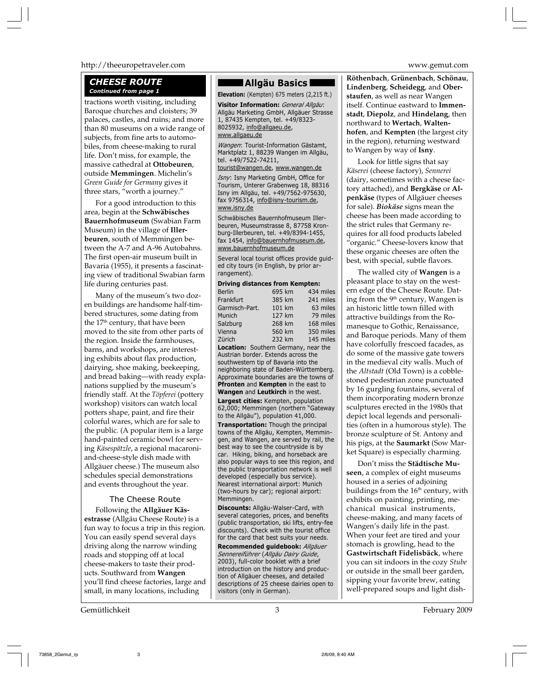#### http://theeuropetraveler.com www.gemut.com

## *CHEESE ROUTE*

tractions worth visiting, including Baroque churches and cloisters; 39 palaces, castles, and ruins; and more than 80 museums on a wide range of subjects, from fine arts to automobiles, from cheese-making to rural life. Don't miss, for example, the massive cathedral at **Ottobeuren**, outside **Memmingen**. Michelin's *Green Guide for Germany* gives it three stars, "worth a journey."

For a good introduction to this area, begin at the **Schwäbisches Bauernhofmuseum** (Swabian Farm Museum) in the village of **Illerbeuren**, south of Memmingen between the A-7 and A-96 Autobahns. The first open-air museum built in Bavaria (1955), it presents a fascinating view of traditional Swabian farm life during centuries past.

Many of the museum's two dozen buildings are handsome half-timbered structures, some dating from the  $17<sup>th</sup>$  century, that have been moved to the site from other parts of the region. Inside the farmhouses, barns, and workshops, are interesting exhibits about flax production, dairying, shoe making, beekeeping, and bread baking—with ready explanations supplied by the museum's friendly staff. At the *Töpferei* (pottery workshop) visitors can watch local potters shape, paint, and fire their colorful wares, which are for sale to the public. (A popular item is a large hand-painted ceramic bowl for serving *Käsespätzle*, a regional macaroniand-cheese-style dish made with Allgäuer cheese.) The museum also schedules special demonstrations and events throughout the year.

#### The Cheese Route

Following the **Allgäuer Käsestrasse** (Allgäu Cheese Route) is a fun way to focus a trip in this region. You can easily spend several days driving along the narrow winding roads and stopping off at local cheese-makers to taste their products. Southward from **Wangen** you'll find cheese factories, large and small, in many locations, including

#### Gemütlichkeit 3 February 2009

#### **Allgäu Basics**

**Continued from page 1 Elevation:** (Kempten) 675 meters (2,215 ft.)

**Visitor Information:** *General Allgäu*: Allgäu Marketing GmbH, Allgäuer Strasse 1, 87435 Kempten, tel. +49/8323- 8025932, info@allgaeu.de, www.allgaeu.de

*Wangen*: Tourist-Information Gästamt, Marktplatz 1, 88239 Wangen im Allgäu, tel. +49/7522-74211,

tourist@wangen.de, www.wangen.de

*Isny*: Isny Marketing GmbH, Office for Tourism, Unterer Grabenweg 18, 88316 Isny im Allgäu, tel. +49/7562-975630, fax 9756314, info@isny-tourism.de, www.isny.de

Schwäbisches Bauernhofmuseum Illerbeuren, Museumstrasse 8, 87758 Kronburg-Illerbeuren, tel. +49/8394-1455, fax 1454, info@bauernhofmuseum.de, www.bauernhofmuseum.de

Several local tourist offices provide guided city tours (in English, by prior arrangement).

| <b>Driving distances from Kempten:</b>      |        |           |
|---------------------------------------------|--------|-----------|
| <b>Berlin</b>                               | 695 km | 434 miles |
| Frankfurt                                   | 385 km | 241 miles |
| Garmisch-Part.                              | 101 km | 63 miles  |
| Munich                                      | 127 km | 79 miles  |
| Salzburg                                    | 268 km | 168 miles |
| Vienna                                      | 560 km | 350 miles |
| Zürich                                      | 232 km | 145 miles |
| <b>Location:</b> Southern Germany, near the |        |           |
| Austrian border. Extends across the         |        |           |
| southwestern tip of Bavaria into the        |        |           |
| neighboring state of Baden-Württemberg.     |        |           |
| Approximate boundaries are the towns of     |        |           |
| Pfronten and Kempten in the east to         |        |           |
| Wangen and Leutkirch in the west.           |        |           |
| <b>Largest cities:</b> Kempten, population  |        |           |
| 62,000; Memmingen (northern "Gateway        |        |           |
| to the Allgäu"), population 41,000.         |        |           |
| Transportation: Though the principal        |        |           |
| towns of the Allgäu, Kempten, Memmin-       |        |           |
| gen, and Wangen, are served by rail, the    |        |           |

best way to see the countryside is by car. Hiking, biking, and horseback are also popular ways to see this region, and the public transportation network is well developed (especially bus service). Nearest international airport: Munich (two-hours by car); regional airport: Memmingen.

**Discounts:** Allgäu-Walser-Card, with several categories, prices, and benefits (public transportation, ski lifts, entry-fee discounts). Check with the tourist office for the card that best suits your needs.

**Recommended guidebook:** *Allgäuer Sennereiführer* (*Allgäu Dairy Guide*, 2003), full-color booklet with a brief introduction on the history and production of Allgäuer cheeses, and detailed descriptions of 25 cheese dairies open to visitors (only in German).

**Röthenbach**, **Grünenbach**, **Schönau**, **Lindenberg**, **Scheidegg**, and **Oberstaufen**, as well as near Wangen itself. Continue eastward to **Immenstadt**, **Diepolz**, and **Hindelang**, then northward to **Wertach**, **Waltenhofen**, and **Kempten** (the largest city in the region), returning westward to Wangen by way of **Isny**.

Look for little signs that say *Käserei* (cheese factory), *Sennerei* (dairy, sometimes with a cheese factory attached), and **Bergkäse** or **Alpenkäse** (types of Allgäuer cheeses for sale). *Biokäse* signs mean the cheese has been made according to the strict rules that Germany requires for all food products labeled "organic." Cheese-lovers know that these organic cheeses are often the best, with special, subtle flavors.

The walled city of **Wangen** is a pleasant place to stay on the western edge of the Cheese Route. Dating from the 9<sup>th</sup> century, Wangen is an historic little town filled with attractive buildings from the Romanesque to Gothic, Renaissance, and Baroque periods. Many of them have colorfully frescoed facades, as do some of the massive gate towers in the medieval city walls. Much of the *Altstadt* (Old Town) is a cobblestoned pedestrian zone punctuated by 16 gurgling fountains, several of them incorporating modern bronze sculptures erected in the 1980s that depict local legends and personalities (often in a humorous style). The bronze sculpture of St. Antony and his pigs, at the **Saumarkt** (Sow Market Square) is especially charming.

Don't miss the **Städtische Museen**, a complex of eight museums housed in a series of adjoining buildings from the  $16<sup>th</sup>$  century, with exhibits on painting, printing, mechanical musical instruments, cheese-making, and many facets of Wangen's daily life in the past. When your feet are tired and your stomach is growling, head to the **Gastwirtschaft Fidelisbäck**, where you can sit indoors in the cozy *Stube* or outside in the small beer garden, sipping your favorite brew, eating well-prepared soups and light dish-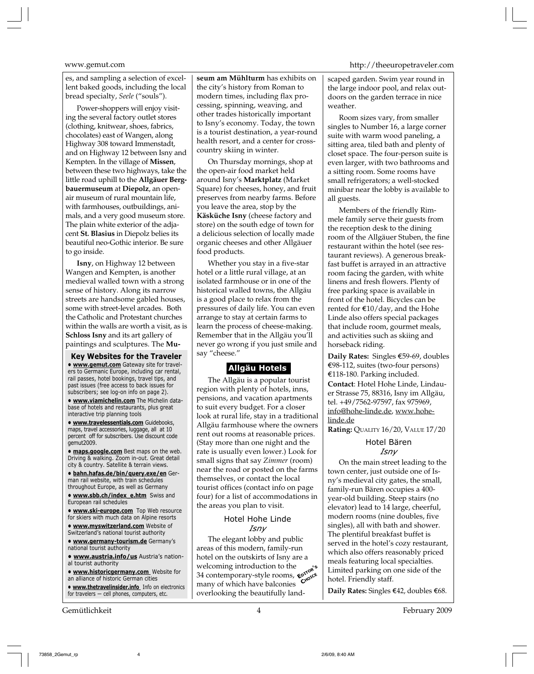Power-shoppers will enjoy visiting the several factory outlet stores (clothing, knitwear, shoes, fabrics, chocolates) east of Wangen, along Highway 308 toward Immenstadt, and on Highway 12 between Isny and Kempten. In the village of **Missen**, between these two highways, take the little road uphill to the **Allgäuer Bergbauermuseum** at **Diepolz**, an openair museum of rural mountain life, with farmhouses, outbuildings, animals, and a very good museum store. The plain white exterior of the adjacent **St. Blasius** in Diepolz belies its beautiful neo-Gothic interior. Be sure to go inside.

**Isny**, on Highway 12 between Wangen and Kempten, is another medieval walled town with a strong sense of history. Along its narrow streets are handsome gabled houses, some with street-level arcades. Both the Catholic and Protestant churches within the walls are worth a visit, as is **Schloss Isny** and its art gallery of paintings and sculptures. The **Mu-**

**Key Websites for the Traveler • www.gemut.com** Gateway site for travelers to Germanic Europe, including car rental, rail passes, hotel bookings, travel tips, and past issues (free access to back issues for subscribers; see log-on info on page 2).

**• www.viamichelin.com** The Michelin database of hotels and restaurants, plus great interactive trip planning tools

**• www.travelessentials.com** Guidebooks, maps, travel accessories, luggage, all at 10 percent off for subscribers. Use discount code gemut2009.

**• maps.google.com** Best maps on the web. Driving & walking. Zoom in-out. Great detail city & country. Satellite & terrain views.

**• bahn.hafas.de/bin/query.exe/en** German rail website, with train schedules throughout Europe, as well as Germany

**• www.sbb.ch/index\_e.htm** Swiss and European rail schedules

**• www.ski-europe.com** Top Web resource for skiers with much data on Alpine resorts

**• www.myswitzerland.com** Website of Switzerland's national tourist authority

**• www.germany-tourism.de** Germany's national tourist authority

**• www.austria.info/us** Austria's national tourist authority

**• www.historicgermany.com** Website for an alliance of historic German cities

**• www.thetravelinsider.info** Info on electronics for travelers — cell phones, computers, etc.

**seum am Mühlturm** has exhibits on the city's history from Roman to modern times, including flax processing, spinning, weaving, and other trades historically important to Isny's economy. Today, the town is a tourist destination, a year-round health resort, and a center for crosscountry skiing in winter.

On Thursday mornings, shop at the open-air food market held around Isny's **Marktplatz** (Market Square) for cheeses, honey, and fruit preserves from nearby farms. Before you leave the area, stop by the **Käsküche Isny** (cheese factory and store) on the south edge of town for a delicious selection of locally made organic cheeses and other Allgäuer food products.

Whether you stay in a five-star hotel or a little rural village, at an isolated farmhouse or in one of the historical walled towns, the Allgäu is a good place to relax from the pressures of daily life. You can even arrange to stay at certain farms to learn the process of cheese-making. Remember that in the Allgäu you'll never go wrong if you just smile and say "cheese."

## **Allgäu Hotels**

The Allgäu is a popular tourist region with plenty of hotels, inns, pensions, and vacation apartments to suit every budget. For a closer look at rural life, stay in a traditional Allgäu farmhouse where the owners rent out rooms at reasonable prices. (Stay more than one night and the rate is usually even lower.) Look for small signs that say *Zimmer* (room) near the road or posted on the farms themselves, or contact the local tourist offices (contact info on page four) for a list of accommodations in the areas you plan to visit.

#### Hotel Hohe Linde *Isny*

Exercising introduction to the<br>34 contemporary-style rooms,  $\epsilon^{67}$ The elegant lobby and public areas of this modern, family-run hotel on the outskirts of Isny are a welcoming introduction to the many of which have balconies overlooking the beautifully land-

#### www.gemut.com http://theeuropetraveler.com

scaped garden. Swim year round in the large indoor pool, and relax outdoors on the garden terrace in nice weather.

Room sizes vary, from smaller singles to Number 16, a large corner suite with warm wood paneling, a sitting area, tiled bath and plenty of closet space. The four-person suite is even larger, with two bathrooms and a sitting room. Some rooms have small refrigerators; a well-stocked minibar near the lobby is available to all guests.

Members of the friendly Rimmele family serve their guests from the reception desk to the dining room of the Allgäuer Stuben, the fine restaurant within the hotel (see restaurant reviews). A generous breakfast buffet is arrayed in an attractive room facing the garden, with white linens and fresh flowers. Plenty of free parking space is available in front of the hotel. Bicycles can be rented for  $\epsilon$ 10/day, and the Hohe Linde also offers special packages that include room, gourmet meals, and activities such as skiing and horseback riding.

**Daily Rates:** Singles E59-69, doubles E98-112, suites (two-four persons) E118-180. Parking included. **Contact**: Hotel Hohe Linde, Lindauer Strasse 75, 88316, Isny im Allgäu, tel. +49/7562-97597, fax 975969, info@hohe-linde.de, www.hohelinde.de

**Rating:** QUALITY 16/20, VALUE 17/20

#### Hotel Bären *Isny*

On the main street leading to the town center, just outside one of Isny's medieval city gates, the small, family-run Bären occupies a 400 year-old building. Steep stairs (no elevator) lead to 14 large, cheerful, modern rooms (nine doubles, five singles), all with bath and shower. The plentiful breakfast buffet is served in the hotel's cozy restaurant, which also offers reasonably priced meals featuring local specialties. Limited parking on one side of the hotel. Friendly staff.

Daily Rates: Singles €42, doubles €68.

Gemütlichkeit 4 February 2009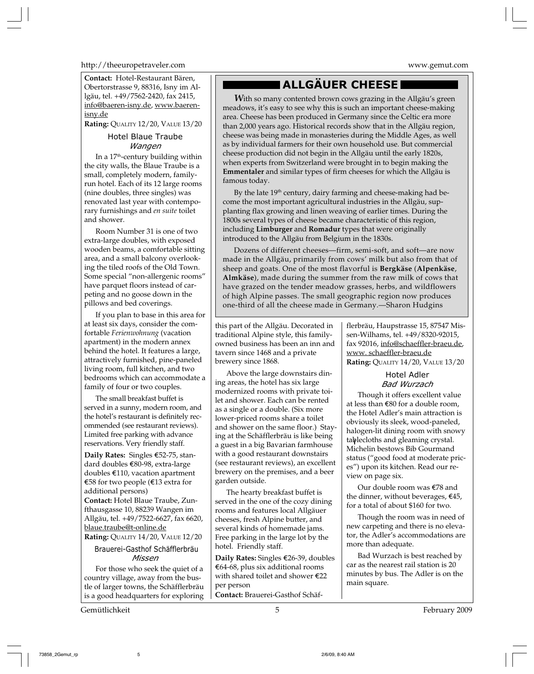http://theeuropetraveler.com www.gemut.com

**Contact:** Hotel-Restaurant Bären, Obertorstrasse 9, 88316, Isny im Allgäu, tel. +49/7562-2420, fax 2415, info@baeren-isny.de, www.baerenisny.de

**Rating:** QUALITY 12/20, VALUE 13/20

### Hotel Blaue Traube *Wangen*

In a 17<sup>th</sup>-century building within the city walls, the Blaue Traube is a small, completely modern, familyrun hotel. Each of its 12 large rooms (nine doubles, three singles) was renovated last year with contemporary furnishings and *en suite* toilet and shower.

Room Number 31 is one of two extra-large doubles, with exposed wooden beams, a comfortable sitting area, and a small balcony overlooking the tiled roofs of the Old Town. Some special "non-allergenic rooms" have parquet floors instead of carpeting and no goose down in the pillows and bed coverings.

If you plan to base in this area for at least six days, consider the comfortable *Ferienwohnung* (vacation apartment) in the modern annex behind the hotel. It features a large, attractively furnished, pine-paneled living room, full kitchen, and two bedrooms which can accommodate a family of four or two couples.

The small breakfast buffet is served in a sunny, modern room, and the hotel's restaurant is definitely recommended (see restaurant reviews). Limited free parking with advance reservations. Very friendly staff.

**Daily Rates:** Singles €52-75, standard doubles E80-98, extra-large doubles E110, vacation apartment E58 for two people (E13 extra for additional persons) **Contact:** Hotel Blaue Traube, Zunfthausgasse 10, 88239 Wangen im Allgäu, tel. +49/7522-6627, fax 6620, blaue.traube@t-online.de

**Rating:** QUALITY 14/20, VALUE 12/20

#### Brauerei-Gasthof Schäfflerbräu *Missen*

For those who seek the quiet of a country village, away from the bustle of larger towns, the Schäfflerbräu is a good headquarters for exploring

Gemütlichkeit February 2009

## **ALLGÄUER CHEESE**

*W*ith so many contented brown cows grazing in the Allgäu's green meadows, it's easy to see why this is such an important cheese-making area. Cheese has been produced in Germany since the Celtic era more than 2,000 years ago. Historical records show that in the Allgäu region, cheese was being made in monasteries during the Middle Ages, as well as by individual farmers for their own household use. But commercial cheese production did not begin in the Allgäu until the early 1820s, when experts from Switzerland were brought in to begin making the **Emmentaler** and similar types of firm cheeses for which the Allgäu is famous today.

By the late 19<sup>th</sup> century, dairy farming and cheese-making had become the most important agricultural industries in the Allgäu, supplanting flax growing and linen weaving of earlier times. During the 1800s several types of cheese became characteristic of this region, including **Limburger** and **Romadur** types that were originally introduced to the Allgäu from Belgium in the 1830s.

Dozens of different cheeses—firm, semi-soft, and soft—are now made in the Allgäu, primarily from cows' milk but also from that of sheep and goats. One of the most flavorful is **Bergkäse** (**Alpenkäse**, **Almkäse**), made during the summer from the raw milk of cows that have grazed on the tender meadow grasses, herbs, and wildflowers of high Alpine passes. The small geographic region now produces one-third of all the cheese made in Germany.—Sharon Hudgins

this part of the Allgäu. Decorated in traditional Alpine style, this familyowned business has been an inn and tavern since 1468 and a private brewery since 1868.

Above the large downstairs dining areas, the hotel has six large modernized rooms with private toilet and shower. Each can be rented as a single or a double. (Six more lower-priced rooms share a toilet and shower on the same floor.) Staying at the Schäfflerbräu is like being a guest in a big Bavarian farmhouse with a good restaurant downstairs (see restaurant reviews), an excellent brewery on the premises, and a beer garden outside.

The hearty breakfast buffet is served in the one of the cozy dining rooms and features local Allgäuer cheeses, fresh Alpine butter, and several kinds of homemade jams. Free parking in the large lot by the hotel. Friendly staff.

**Daily Rates:** Singles E26-39, doubles E64-68, plus six additional rooms with shared toilet and shower E22 per person

**Contact:** Brauerei-Gasthof Schäf-

flerbräu, Haupstrasse 15, 87547 Missen-Wilhams, tel. +49/8320-92015, fax 92016, info@schaeffler-braeu.de, www. schaeffler-braeu.de **Rating:** QUALITY 14/20, VALUE 13/20

## Hotel Adler *Bad Wurzach*

Though it offers excellent value at less than E80 for a double room, the Hotel Adler's main attraction is obviously its sleek, wood-paneled, halogen-lit dining room with snowy tablecloths and gleaming crystal. Michelin bestows Bib Gourmand status ("good food at moderate prices") upon its kitchen. Read our review on page six.

Our double room was E78 and the dinner, without beverages,  $\epsilon$ 45, for a total of about \$160 for two.

Though the room was in need of new carpeting and there is no elevator, the Adler's accommodations are more than adequate.

Bad Wurzach is best reached by car as the nearest rail station is 20 minutes by bus. The Adler is on the main square.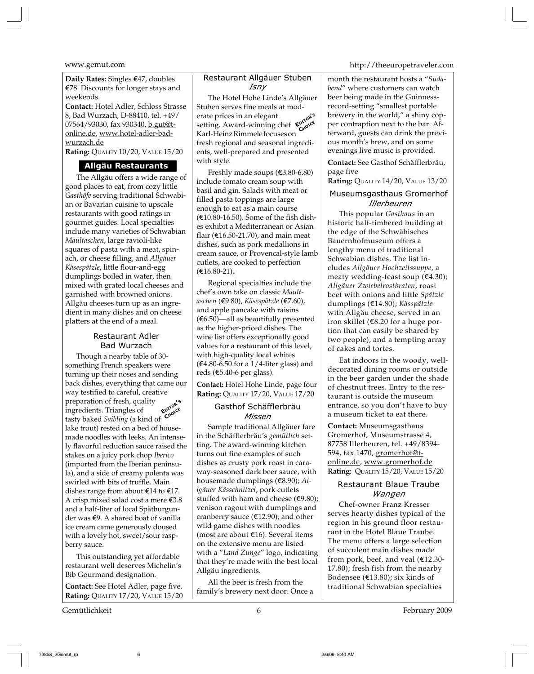**Daily Rates:** Singles E47, doubles E78 Discounts for longer stays and weekends.

**Contact:** Hotel Adler, Schloss Strasse 8, Bad Wurzach, D-88410, tel. +49/ 07564/93030, fax 930340, b.gut@tonline.de, www.hotel-adler-bad-<u>wurzach.de</u>

**Rating:** QUALITY 10/20, VALUE 15/20

#### **Allgäu Restaurants**

The Allgäu offers a wide range of good places to eat, from cozy little *Gasthöfe* serving traditional Schwabian or Bavarian cuisine to upscale restaurants with good ratings in gourmet guides. Local specialties include many varieties of Schwabian *Maultaschen*, large ravioli-like squares of pasta with a meat, spinach, or cheese filling, and *Allgäuer Käsespätzle*, little flour-and-egg dumplings boiled in water, then mixed with grated local cheeses and garnished with browned onions. Allgäu cheeses turn up as an ingredient in many dishes and on cheese platters at the end of a meal.

#### Restaurant Adler Bad Wurzach

**EDITOR'<sup>S</sup>** C<sub>HOICE</sub> Though a nearby table of 30 something French speakers were turning up their noses and sending back dishes, everything that came our way testified to careful, creative preparation of fresh, quality ingredients. Triangles of tasty baked *Saibling* (a kind of lake trout) rested on a bed of housemade noodles with leeks. An intensely flavorful reduction sauce raised the stakes on a juicy pork chop *Iberico* (imported from the Iberian peninsula), and a side of creamy polenta was swirled with bits of truffle. Main dishes range from about  $\epsilon$ 14 to  $\epsilon$ 17. A crisp mixed salad cost a mere  $\epsilon$ 3.8 and a half-liter of local Spätburgunder was  $\epsilon$ 9. A shared boat of vanilla ice cream came generously doused with a lovely hot, sweet/sour raspberry sauce.

This outstanding yet affordable restaurant well deserves Michelin's Bib Gourmand designation.

**Contact:** See Hotel Adler, page five. **Rating:** QUALITY 17/20, VALUE 15/20

Gemütlichkeit 6 February 2009

#### Restaurant Allgäuer Stuben *Isny*

**EDITOR'<sup>S</sup> CHOICE** The Hotel Hohe Linde's Allgäuer Stuben serves fine meals at moderate prices in an elegant setting. Award-winning chef Karl-Heinz Rimmele focuses on fresh regional and seasonal ingredients, well-prepared and presented with style.

Freshly made soups  $(€3.80-6.80)$ include tomato cream soup with basil and gin. Salads with meat or filled pasta toppings are large enough to eat as a main course (e10.80-16.50). Some of the fish dishes exhibit a Mediterranean or Asian flair ( $E$ 16.50-21.70), and main meat dishes, such as pork medallions in cream sauce, or Provencal-style lamb cutlets, are cooked to perfection (e16.80-21).

Regional specialties include the chef's own take on classic *Maultaschen* (e9.80), *Käsespätzle* (e7.60), and apple pancake with raisins  $(6.50)$ —all as beautifully presented as the higher-priced dishes. The wine list offers exceptionally good values for a restaurant of this level, with high-quality local whites  $(€4.80-6.50$  for a 1/4-liter glass) and reds (E5.40-6 per glass).

**Contact:** Hotel Hohe Linde, page four **Rating:** QUALITY 17/20, VALUE 17/20

#### Gasthof Schäfflerbräu *Missen*

Sample traditional Allgäuer fare in the Schäfflerbräu's *gemütlich* setting. The award-winning kitchen turns out fine examples of such dishes as crusty pork roast in caraway-seasoned dark beer sauce, with housemade dumplings (E8.90); *Allgäuer Kässchnitzel*, pork cutlets stuffed with ham and cheese ( $€9.80$ ); venison ragout with dumplings and cranberry sauce ( $E$ 12.90); and other wild game dishes with noodles (most are about  $E(16)$ . Several items on the extensive menu are listed with a "*Land Zunge*" logo, indicating that they're made with the best local Allgäu ingredients.

All the beer is fresh from the family's brewery next door. Once a

www.gemut.com http://theeuropetraveler.com

month the restaurant hosts a "*Sudabend*" where customers can watch beer being made in the Guinnessrecord-setting "smallest portable brewery in the world," a shiny copper contraption next to the bar. Afterward, guests can drink the previous month's brew, and on some evenings live music is provided.

**Contact:** See Gasthof Schäfflerbräu, page five

#### **Rating:** QUALITY 14/20, VALUE 13/20

#### Museumsgasthaus Gromerhof *Illerbeuren*

This popular *Gasthaus* in an historic half-timbered building at the edge of the Schwäbisches Bauernhofmuseum offers a lengthy menu of traditional Schwabian dishes. The list includes *Allgäuer Hochzeitssuppe*, a meaty wedding-feast soup  $(€4.30)$ ; *Allgäuer Zwiebelrostbraten*, roast beef with onions and little *Spätzle* dumplings (E14.80); *Kässpätzle* with Allgäu cheese, served in an iron skillet (E8.20 for a huge portion that can easily be shared by two people), and a tempting array of cakes and tortes.

Eat indoors in the woody, welldecorated dining rooms or outside in the beer garden under the shade of chestnut trees. Entry to the restaurant is outside the museum entrance, so you don't have to buy a museum ticket to eat there.

**Contact:** Museumsgasthaus Gromerhof, Museumstrasse 4, 87758 Illerbeuren, tel. +49/8394- 594, fax 1470, gromerhof@tonline.de, www.gromerhof.de **Rating:** QUALITY 15/20, VALUE 15/20

#### Restaurant Blaue Traube *Wangen*

Chef-owner Franz Kresser serves hearty dishes typical of the region in his ground floor restaurant in the Hotel Blaue Traube. The menu offers a large selection of succulent main dishes made from pork, beef, and veal  $(E12.30-$ 17.80); fresh fish from the nearby Bodensee ( $E$ 13.80); six kinds of traditional Schwabian specialties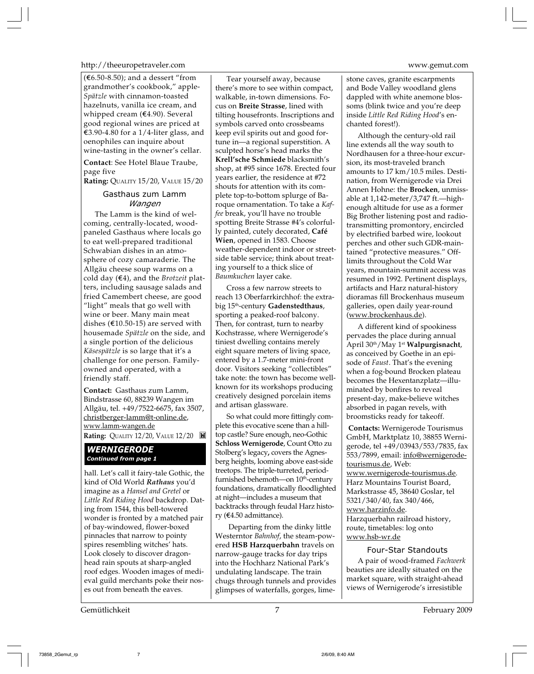#### http://theeuropetraveler.com www.gemut.com

 $(€6.50-8.50)$ ; and a dessert "from grandmother's cookbook," apple-*Spätzle* with cinnamon-toasted hazelnuts, vanilla ice cream, and whipped cream (E4.90). Several good regional wines are priced at €3.90-4.80 for a 1/4-liter glass, and oenophiles can inquire about wine-tasting in the owner's cellar.

**Contact**: See Hotel Blaue Traube, page five

**Rating:** QUALITY 15/20, VALUE 15/20

### Gasthaus zum Lamm *Wangen*

The Lamm is the kind of welcoming, centrally-located, woodpaneled Gasthaus where locals go to eat well-prepared traditional Schwabian dishes in an atmosphere of cozy camaraderie. The Allgäu cheese soup warms on a cold day (E4), and the *Brotzeit* platters, including sausage salads and fried Camembert cheese, are good "light" meals that go well with wine or beer. Many main meat dishes ( $E10.50-15$ ) are served with housemade *Spätzle* on the side, and a single portion of the delicious *Käsespätzle* is so large that it's a challenge for one person. Familyowned and operated, with a friendly staff.

**Contact:** Gasthaus zum Lamm, Bindstrasse 60, 88239 Wangen im Allgäu, tel. +49/7522-6675, fax 3507, christberger-lamm@t-online.de, www.lamm-wangen.de **Rating:** QUALITY 12/20, VALUE 12/20

#### *WERNIGERODE Continued from page 1*

hall. Let's call it fairy-tale Gothic, the kind of Old World *Rathaus* you'd imagine as a *Hansel and Gretel* or *Little Red Riding Hood* backdrop. Dating from 1544, this bell-towered wonder is fronted by a matched pair of bay-windowed, flower-boxed pinnacles that narrow to pointy spires resembling witches' hats. Look closely to discover dragonhead rain spouts at sharp-angled roof edges. Wooden images of medieval guild merchants poke their noses out from beneath the eaves.

Gemütlichkeit February 2009

Tear yourself away, because there's more to see within compact, walkable, in-town dimensions. Focus on **Breite Strasse**, lined with tilting housefronts. Inscriptions and symbols carved onto crossbeams keep evil spirits out and good fortune in—a regional superstition. A sculpted horse's head marks the **Krell'sche Schmiede** blacksmith's shop, at #95 since 1678. Erected four years earlier, the residence at #72 shouts for attention with its complete top-to-bottom splurge of Baroque ornamentation. To take a *Kaffee* break, you'll have no trouble spotting Breite Strasse #4's colorfully painted, cutely decorated, **Café Wien**, opened in 1583. Choose weather-dependent indoor or streetside table service; think about treating yourself to a thick slice of *Baumkuchen* layer cake.

Cross a few narrow streets to reach 13 Oberfarrkirchhof: the extrabig 15th-century **Gadenstedthaus**, sporting a peaked-roof balcony. Then, for contrast, turn to nearby Kochstrasse, where Wernigerode's tiniest dwelling contains merely eight square meters of living space, entered by a 1.7-meter mini-front door. Visitors seeking "collectibles" take note: the town has become wellknown for its workshops producing creatively designed porcelain items and artisan glassware.

So what could more fittingly complete this evocative scene than a hilltop castle? Sure enough, neo-Gothic **Schloss Wernigerode**, Count Otto zu Stolberg's legacy**,** covers the Agnesberg heights, looming above east-side treetops. The triple-turreted, periodfurnished behemoth—on 10<sup>th</sup>-century foundations, dramatically floodlighted at night—includes a museum that backtracks through feudal Harz history (E4.50 admittance).

 Departing from the dinky little Westerntor *Bahnhof*, the steam-powered **HSB Harzquerbahn** travels on narrow-gauge tracks for day trips into the Hochharz National Park's undulating landscape. The train chugs through tunnels and provides glimpses of waterfalls, gorges, lime-

stone caves, granite escarpments and Bode Valley woodland glens dappled with white anemone blossoms (blink twice and you're deep inside *Little Red Riding Hood*'s enchanted forest!).

Although the century-old rail line extends all the way south to Nordhausen for a three-hour excursion, its most-traveled branch amounts to 17 km/10.5 miles. Destination, from Wernigerode via Drei Annen Hohne: the **Brocken**, unmissable at 1,142-meter/3,747 ft.—highenough altitude for use as a former Big Brother listening post and radiotransmitting promontory, encircled by electrified barbed wire, lookout perches and other such GDR-maintained "protective measures." Offlimits throughout the Cold War years, mountain-summit access was resumed in 1992. Pertinent displays, artifacts and Harz natural-history dioramas fill Brockenhaus museum galleries, open daily year-round (www.brockenhaus.de).

A different kind of spookiness pervades the place during annual April 30th/May 1st **Walpurgisnacht**, as conceived by Goethe in an episode of *Faust*. That's the evening when a fog-bound Brocken plateau becomes the Hexentanzplatz—illuminated by bonfires to reveal present-day, make-believe witches absorbed in pagan revels, with broomsticks ready for takeoff.

**Contacts:** Wernigerode Tourismus GmbH, Marktplatz 10, 38855 Wernigerode, tel +49/03943/553/7835, fax 553/7899, email: info@wernigerodetourismus.de, Web: www.wernigerode-tourismus.de. Harz Mountains Tourist Board, Markstrasse 45, 38640 Goslar, tel 5321/340/40, fax 340/466, www.harzinfo.de. Harzquerbahn railroad history,

route, timetables: log onto www.hsb-wr.de

#### Four-Star Standouts

A pair of wood-framed *Fachwerk* beauties are ideally situated on the market square, with straight-ahead views of Wernigerode's irresistible